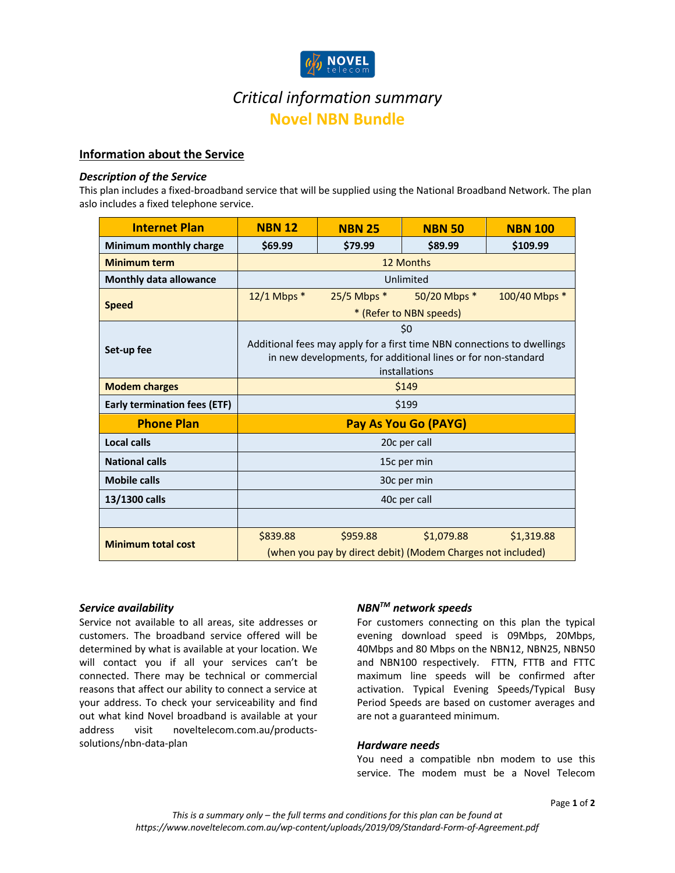

# *Critical information summary* **Novel NBN Bundle**

# **Information about the Service**

## *Description of the Service*

This plan includes a fixed-broadband service that will be supplied using the National Broadband Network. The plan aslo includes a fixed telephone service.

| <b>Internet Plan</b>                | <b>NBN 12</b>                                                                  | <b>NBN 25</b>   | <b>NBN 50</b> | <b>NBN 100</b> |
|-------------------------------------|--------------------------------------------------------------------------------|-----------------|---------------|----------------|
| Minimum monthly charge              | \$69.99                                                                        | \$79.99         | \$89.99       | \$109.99       |
| <b>Minimum term</b>                 | 12 Months                                                                      |                 |               |                |
| <b>Monthly data allowance</b>       | Unlimited                                                                      |                 |               |                |
| <b>Speed</b>                        | $12/1$ Mbps $*$                                                                | $25/5$ Mbps $*$ | 50/20 Mbps *  | 100/40 Mbps *  |
|                                     | * (Refer to NBN speeds)                                                        |                 |               |                |
| Set-up fee                          | \$0                                                                            |                 |               |                |
|                                     | Additional fees may apply for a first time NBN connections to dwellings        |                 |               |                |
|                                     | in new developments, for additional lines or for non-standard<br>installations |                 |               |                |
| <b>Modem charges</b>                | \$149                                                                          |                 |               |                |
| <b>Early termination fees (ETF)</b> | \$199                                                                          |                 |               |                |
| <b>Phone Plan</b>                   |                                                                                |                 |               |                |
|                                     | Pay As You Go (PAYG)                                                           |                 |               |                |
| Local calls                         | 20c per call                                                                   |                 |               |                |
| <b>National calls</b>               | 15c per min                                                                    |                 |               |                |
| <b>Mobile calls</b>                 | 30c per min                                                                    |                 |               |                |
| 13/1300 calls                       | 40c per call                                                                   |                 |               |                |
|                                     |                                                                                |                 |               |                |
| <b>Minimum total cost</b>           | \$839.88                                                                       | \$959.88        | \$1,079.88    | \$1,319.88     |
|                                     | (when you pay by direct debit) (Modem Charges not included)                    |                 |               |                |

## *Service availability*

Service not available to all areas, site addresses or customers. The broadband service offered will be determined by what is available at your location. We will contact you if all your services can't be connected. There may be technical or commercial reasons that affect our ability to connect a service at your address. To check your serviceability and find out what kind Novel broadband is available at your address visit noveltelecom.com.au/productssolutions/nbn-data-plan

## *NBNTM network speeds*

For customers connecting on this plan the typical evening download speed is 09Mbps, 20Mbps, 40Mbps and 80 Mbps on the NBN12, NBN25, NBN50 and NBN100 respectively. FTTN, FTTB and FTTC maximum line speeds will be confirmed after activation. Typical Evening Speeds/Typical Busy Period Speeds are based on customer averages and are not a guaranteed minimum.

#### *Hardware needs*

You need a compatible nbn modem to use this service. The modem must be a Novel Telecom